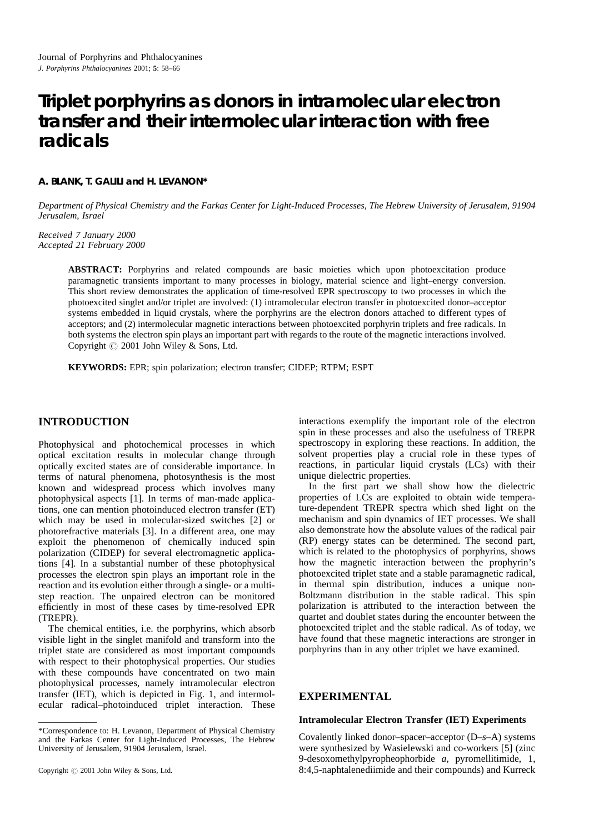# **Triplet porphyrins as donors in intramolecular electron transfer and their intermolecular interaction with free radicals**

## **A. BLANK, T. GALILI and H. LEVANON\***

*Department of Physical Chemistry and the Farkas Center for Light-Induced Processes, The Hebrew University of Jerusalem, 91904 Jerusalem, Israel*

*Received 7 January 2000 Accepted 21 February 2000*

> **ABSTRACT:** Porphyrins and related compounds are basic moieties which upon photoexcitation produce paramagnetic transients important to many processes in biology, material science and light–energy conversion. This short review demonstrates the application of time-resolved EPR spectroscopy to two processes in which the photoexcited singlet and/or triplet are involved: (1) intramolecular electron transfer in photoexcited donor–acceptor systems embedded in liquid crystals, where the porphyrins are the electron donors attached to different types of acceptors; and (2) intermolecular magnetic interactions between photoexcited porphyrin triplets and free radicals. In both systems the electron spin plays an important part with regards to the route of the magnetic interactions involved. Copyright  $\odot$  2001 John Wiley & Sons, Ltd.

**KEYWORDS:** EPR; spin polarization; electron transfer; CIDEP; RTPM; ESPT

# **INTRODUCTION**

Photophysical and photochemical processes in which optical excitation results in molecular change through optically excited states are of considerable importance. In terms of natural phenomena, photosynthesis is the most known and widespread process which involves many photophysical aspects [1]. In terms of man-made applications, one can mention photoinduced electron transfer (ET) which may be used in molecular-sized switches [2] or photorefractive materials [3]. In a different area, one may exploit the phenomenon of chemically induced spin polarization (CIDEP) for several electromagnetic applications [4]. In a substantial number of these photophysical processes the electron spin plays an important role in the reaction and its evolution either through a single- or a multistep reaction. The unpaired electron can be monitored efficiently in most of these cases by time-resolved EPR (TREPR).

The chemical entities, i.e. the porphyrins, which absorb visible light in the singlet manifold and transform into the triplet state are considered as most important compounds with respect to their photophysical properties. Our studies with these compounds have concentrated on two main photophysical processes, namely intramolecular electron transfer (IET), which is depicted in Fig. 1, and intermolecular radical–photoinduced triplet interaction. These

———————

interactions exemplify the important role of the electron spin in these processes and also the usefulness of TREPR spectroscopy in exploring these reactions. In addition, the solvent properties play a crucial role in these types of reactions, in particular liquid crystals (LCs) with their unique dielectric properties.

In the first part we shall show how the dielectric properties of LCs are exploited to obtain wide temperature-dependent TREPR spectra which shed light on the mechanism and spin dynamics of IET processes. We shall also demonstrate how the absolute values of the radical pair (RP) energy states can be determined. The second part, which is related to the photophysics of porphyrins, shows how the magnetic interaction between the prophyrin's photoexcited triplet state and a stable paramagnetic radical, in thermal spin distribution, induces a unique non-Boltzmann distribution in the stable radical. This spin polarization is attributed to the interaction between the quartet and doublet states during the encounter between the photoexcited triplet and the stable radical. As of today, we have found that these magnetic interactions are stronger in porphyrins than in any other triplet we have examined.

#### **EXPERIMENTAL**

#### **Intramolecular Electron Transfer (IET) Experiments**

Covalently linked donor–spacer–acceptor (D–*s*–A) systems were synthesized by Wasielewski and co-workers [5] (zinc 9-desoxomethylpyropheophorbide *a*, pyromellitimide, 1, 8:4,5-naphtalenediimide and their compounds) and Kurreck

<sup>\*</sup>Correspondence to: H. Levanon, Department of Physical Chemistry and the Farkas Center for Light-Induced Processes, The Hebrew University of Jerusalem, 91904 Jerusalem, Israel.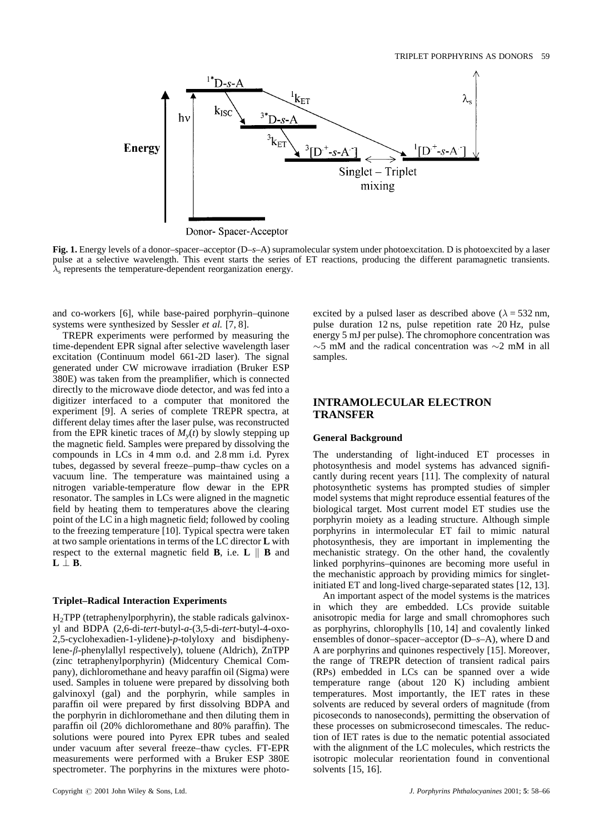

Donor-Spacer-Acceptor

**Fig. 1.** Energy levels of a donor–spacer–acceptor (D–*s*–A) supramolecular system under photoexcitation. D is photoexcited by a laser pulse at a selective wavelength. This event starts the series of ET reactions, producing the different paramagnetic transients.  $\lambda_s$  represents the temperature-dependent reorganization energy.

and co-workers [6], while base-paired porphyrin–quinone systems were synthesized by Sessler *et al.* [7, 8].

TREPR experiments were performed by measuring the time-dependent EPR signal after selective wavelength laser excitation (Continuum model 661-2D laser). The signal generated under CW microwave irradiation (Bruker ESP 380E) was taken from the preamplifier, which is connected directly to the microwave diode detector, and was fed into a digitizer interfaced to a computer that monitored the experiment [9]. A series of complete TREPR spectra, at different delay times after the laser pulse, was reconstructed from the EPR kinetic traces of  $M_{\nu}(t)$  by slowly stepping up the magnetic field. Samples were prepared by dissolving the compounds in LCs in 4 mm o.d. and 2.8 mm i.d. Pyrex tubes, degassed by several freeze–pump–thaw cycles on a vacuum line. The temperature was maintained using a nitrogen variable-temperature flow dewar in the EPR resonator. The samples in LCs were aligned in the magnetic field by heating them to temperatures above the clearing point of the LC in a high magnetic field; followed by cooling to the freezing temperature [10]. Typical spectra were taken at two sample orientations in terms of the LC director **L** with respect to the external magnetic field **B**, i.e.  $\bf{L} \parallel \bf{B}$  and  $L \perp B$ .

### **Triplet–Radical Interaction Experiments**

H2TPP (tetraphenylporphyrin), the stable radicals galvinoxyl and BDPA (2,6-di-*tert*-butyl-*a*-(3,5-di-*tert*-butyl-4-oxo-2,5-cyclohexadien-1-ylidene)-*p*-tolyloxy and bisdiphenylene- $\beta$ -phenylallyl respectively), toluene (Aldrich), ZnTPP (zinc tetraphenylporphyrin) (Midcentury Chemical Company), dichloromethane and heavy paraffin oil (Sigma) were used. Samples in toluene were prepared by dissolving both galvinoxyl (gal) and the porphyrin, while samples in paraffin oil were prepared by first dissolving BDPA and the porphyrin in dichloromethane and then diluting them in paraffin oil (20% dichloromethane and 80% paraffin). The solutions were poured into Pyrex EPR tubes and sealed under vacuum after several freeze–thaw cycles. FT-EPR measurements were performed with a Bruker ESP 380E spectrometer. The porphyrins in the mixtures were photoexcited by a pulsed laser as described above ( $\lambda = 532$  nm, pulse duration 12 ns, pulse repetition rate 20 Hz, pulse energy 5 mJ per pulse). The chromophore concentration was  $\sim$ 5 mM and the radical concentration was  $\sim$ 2 mM in all samples.

# **INTRAMOLECULAR ELECTRON TRANSFER**

#### **General Background**

The understanding of light-induced ET processes in photosynthesis and model systems has advanced significantly during recent years [11]. The complexity of natural photosynthetic systems has prompted studies of simpler model systems that might reproduce essential features of the biological target. Most current model ET studies use the porphyrin moiety as a leading structure. Although simple porphyrins in intermolecular ET fail to mimic natural photosynthesis, they are important in implementing the mechanistic strategy. On the other hand, the covalently linked porphyrins–quinones are becoming more useful in the mechanistic approach by providing mimics for singletinitiated ET and long-lived charge-separated states [12, 13].

An important aspect of the model systems is the matrices in which they are embedded. LCs provide suitable anisotropic media for large and small chromophores such as porphyrins, chlorophylls [10, 14] and covalently linked ensembles of donor–spacer–acceptor (D–*s*–A), where D and A are porphyrins and quinones respectively [15]. Moreover, the range of TREPR detection of transient radical pairs (RPs) embedded in LCs can be spanned over a wide temperature range (about 120 K) including ambient temperatures. Most importantly, the IET rates in these solvents are reduced by several orders of magnitude (from picoseconds to nanoseconds), permitting the observation of these processes on submicrosecond timescales. The reduction of IET rates is due to the nematic potential associated with the alignment of the LC molecules, which restricts the isotropic molecular reorientation found in conventional solvents [15, 16].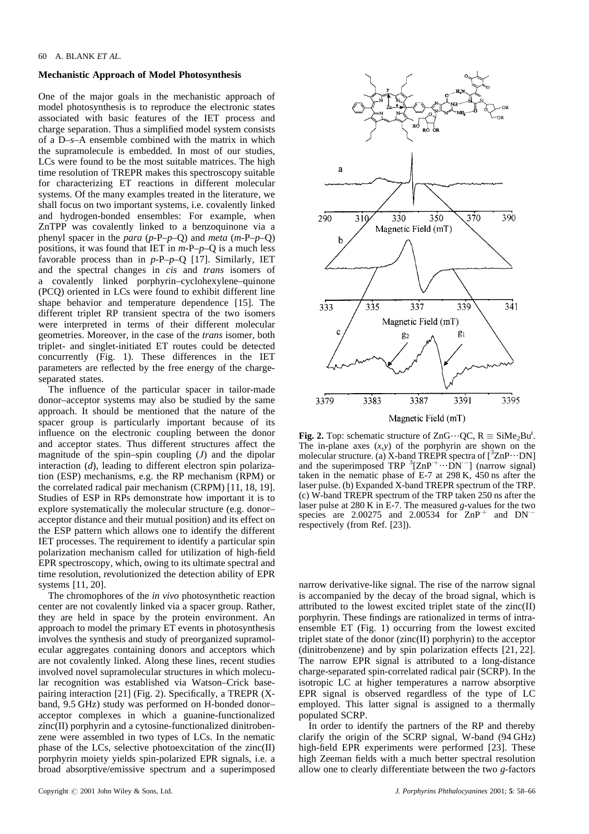#### **Mechanistic Approach of Model Photosynthesis**

One of the major goals in the mechanistic approach of model photosynthesis is to reproduce the electronic states associated with basic features of the IET process and charge separation. Thus a simplified model system consists of a D–*s*–A ensemble combined with the matrix in which the supramolecule is embedded. In most of our studies, LCs were found to be the most suitable matrices. The high time resolution of TREPR makes this spectroscopy suitable for characterizing ET reactions in different molecular systems. Of the many examples treated in the literature, we shall focus on two important systems, i.e. covalently linked and hydrogen-bonded ensembles: For example, when ZnTPP was covalently linked to a benzoquinone via a phenyl spacer in the *para* (*p*-P–*p*–Q) and *meta* (*m*-P–*p*–Q) positions, it was found that IET in *m*-P–*p*–Q is a much less favorable process than in *p*-P–*p*–Q [17]. Similarly, IET and the spectral changes in *cis* and *trans* isomers of a covalently linked porphyrin–cyclohexylene–quinone (PCQ) oriented in LCs were found to exhibit different line shape behavior and temperature dependence [15]. The different triplet RP transient spectra of the two isomers were interpreted in terms of their different molecular geometries. Moreover, in the case of the *trans* isomer, both triplet- and singlet-initiated ET routes could be detected concurrently (Fig. 1). These differences in the IET parameters are reflected by the free energy of the chargeseparated states.

The influence of the particular spacer in tailor-made donor–acceptor systems may also be studied by the same approach. It should be mentioned that the nature of the spacer group is particularly important because of its influence on the electronic coupling between the donor and acceptor states. Thus different structures affect the magnitude of the spin–spin coupling (*J*) and the dipolar interaction (*d*), leading to different electron spin polarization (ESP) mechanisms, e.g. the RP mechanism (RPM) or the correlated radical pair mechanism (CRPM) [11, 18, 19]. Studies of ESP in RPs demonstrate how important it is to explore systematically the molecular structure (e.g. donor– acceptor distance and their mutual position) and its effect on the ESP pattern which allows one to identify the different IET processes. The requirement to identify a particular spin polarization mechanism called for utilization of high-field EPR spectroscopy, which, owing to its ultimate spectral and time resolution, revolutionized the detection ability of EPR systems [11, 20].

The chromophores of the *in vivo* photosynthetic reaction center are not covalently linked via a spacer group. Rather, they are held in space by the protein environment. An approach to model the primary ET events in photosynthesis involves the synthesis and study of preorganized supramolecular aggregates containing donors and acceptors which are not covalently linked. Along these lines, recent studies involved novel supramolecular structures in which molecular recognition was established via Watson–Crick basepairing interaction [21] (Fig. 2). Specifically, a TREPR (Xband, 9.5 GHz) study was performed on H-bonded donor– acceptor complexes in which a guanine-functionalized zinc(II) porphyrin and a cytosine-functionalized dinitrobenzene were assembled in two types of LCs. In the nematic phase of the LCs, selective photoexcitation of the zinc(II) porphyrin moiety yields spin-polarized EPR signals, i.e. a broad absorptive/emissive spectrum and a superimposed



Magnetic Field (mT)

**Fig. 2.** Top: schematic structure of  $ZnG \cdots QC$ ,  $R \equiv \text{SiMe}_2\text{Bu}^t$ . The in-plane axes (*x,y*) of the porphyrin are shown on the molecular structure. (a)  $X$ -band TREPR spectra of  $[^{3}ZnP...DN]$ and the superimposed TRP  ${}^{3}[ZnP^{+} \cdots DN^{-}]$  (narrow signal) taken in the nematic phase of E-7 at 298 K, 450 ns after the laser pulse. (b) Expanded X-band TREPR spectrum of the TRP. (c) W-band TREPR spectrum of the TRP taken 250 ns after the laser pulse at 280 K in E-7. The measured *g*-values for the two species are 2.00275 and 2.00534 for  $ZnP^+$  and  $DN^$ respectively (from Ref. [23]).

narrow derivative-like signal. The rise of the narrow signal is accompanied by the decay of the broad signal, which is attributed to the lowest excited triplet state of the zinc(II) porphyrin. These findings are rationalized in terms of intraensemble ET (Fig. 1) occurring from the lowest excited triplet state of the donor (zinc(II) porphyrin) to the acceptor (dinitrobenzene) and by spin polarization effects [21, 22]. The narrow EPR signal is attributed to a long-distance charge-separated spin-correlated radical pair (SCRP). In the isotropic LC at higher temperatures a narrow absorptive EPR signal is observed regardless of the type of LC employed. This latter signal is assigned to a thermally populated SCRP.

In order to identify the partners of the RP and thereby clarify the origin of the SCRP signal, W-band (94 GHz) high-field EPR experiments were performed [23]. These high Zeeman fields with a much better spectral resolution allow one to clearly differentiate between the two *g*-factors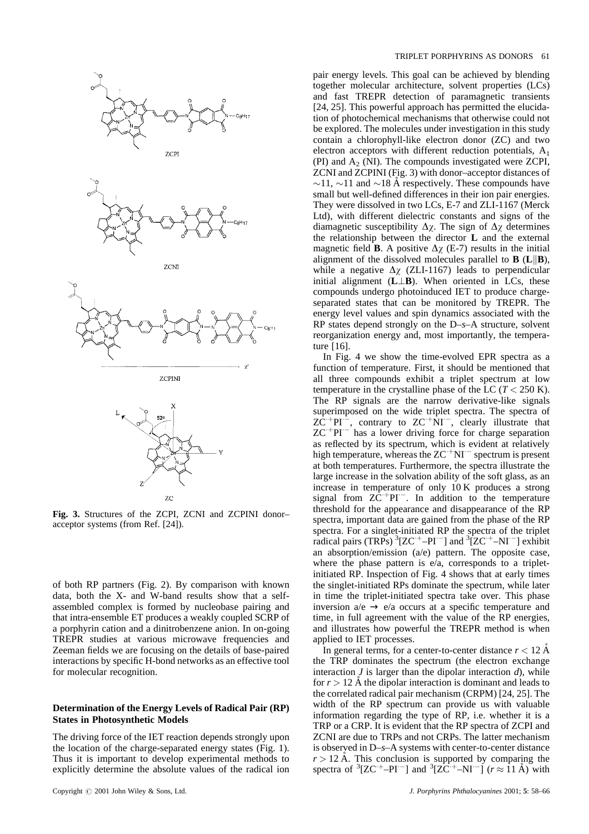

**Fig. 3.** Structures of the ZCPI, ZCNI and ZCPINI donor– acceptor systems (from Ref. [24]).

of both RP partners (Fig. 2). By comparison with known data, both the X- and W-band results show that a selfassembled complex is formed by nucleobase pairing and that intra-ensemble ET produces a weakly coupled SCRP of a porphyrin cation and a dinitrobenzene anion. In on-going TREPR studies at various microwave frequencies and Zeeman fields we are focusing on the details of base-paired interactions by specific H-bond networks as an effective tool for molecular recognition.

### **Determination of the Energy Levels of Radical Pair (RP) States in Photosynthetic Models**

The driving force of the IET reaction depends strongly upon the location of the charge-separated energy states (Fig. 1). Thus it is important to develop experimental methods to explicitly determine the absolute values of the radical ion pair energy levels. This goal can be achieved by blending together molecular architecture, solvent properties (LCs) and fast TREPR detection of paramagnetic transients [24, 25]. This powerful approach has permitted the elucidation of photochemical mechanisms that otherwise could not be explored. The molecules under investigation in this study contain a chlorophyll-like electron donor (ZC) and two electron acceptors with different reduction potentials, A<sub>1</sub> (PI) and  $A_2$  (NI). The compounds investigated were ZCPI, ZCNI and ZCPINI (Fig. 3) with donor–acceptor distances of  $\sim$ 11,  $\sim$ 11 and  $\sim$ 18 Å respectively. These compounds have small but well-defined differences in their ion pair energies. They were dissolved in two LCs, E-7 and ZLI-1167 (Merck Ltd), with different dielectric constants and signs of the diamagnetic susceptibility  $\Delta \chi$ . The sign of  $\Delta \chi$  determines the relationship between the director **L** and the external magnetic field **B**. A positive  $\Delta \chi$  (E-7) results in the initial alignment of the dissolved molecules parallel to  $\bf{B}$  ( $\bf{L}$ | $\bf{B}$ ), while a negative  $\Delta \chi$  (ZLI-1167) leads to perpendicular initial alignment  $(L \perp B)$ . When oriented in LCs, these compounds undergo photoinduced IET to produce chargeseparated states that can be monitored by TREPR. The energy level values and spin dynamics associated with the RP states depend strongly on the D–*s*–A structure, solvent reorganization energy and, most importantly, the temperature [16].

In Fig. 4 we show the time-evolved EPR spectra as a function of temperature. First, it should be mentioned that all three compounds exhibit a triplet spectrum at low temperature in the crystalline phase of the LC  $(T < 250 \text{ K})$ . The RP signals are the narrow derivative-like signals superimposed on the wide triplet spectra. The spectra of  $ZC^{+}PI^{-}$ , contrary to  $ZC^{+}NI^{-}$ , clearly illustrate that  $ZC^{+}PI^{-}$  has a lower driving force for charge separation as reflected by its spectrum, which is evident at relatively high temperature, whereas the  $ZC^+NI^-$  spectrum is present at both temperatures. Furthermore, the spectra illustrate the large increase in the solvation ability of the soft glass, as an increase in temperature of only 10 K produces a strong signal from  $ZC^+PI^-$ . In addition to the temperature threshold for the appearance and disappearance of the RP spectra, important data are gained from the phase of the RP spectra. For a singlet-initiated RP the spectra of the triplet radical pairs (TRPs)  ${}^{3}[ZC^{+}-PT^{-}]$  and  ${}^{3}[ZC^{+}-NI^{-}]$  exhibit an absorption/emission (a/e) pattern. The opposite case, where the phase pattern is e/a, corresponds to a tripletinitiated RP. Inspection of Fig. 4 shows that at early times the singlet-initiated RPs dominate the spectrum, while later in time the triplet-initiated spectra take over. This phase inversion  $a/e \rightarrow e/a$  occurs at a specific temperature and time, in full agreement with the value of the RP energies, and illustrates how powerful the TREPR method is when applied to IET processes.

In general terms, for a center-to-center distance  $r < 12 \text{ Å}$ the TRP dominates the spectrum (the electron exchange interaction *J* is larger than the dipolar interaction *d*), while for  $r > 12$  Å the dipolar interaction is dominant and leads to the correlated radical pair mechanism (CRPM) [24, 25]. The width of the RP spectrum can provide us with valuable information regarding the type of RP, i.e. whether it is a TRP or a CRP. It is evident that the RP spectra of ZCPI and ZCNI are due to TRPs and not CRPs. The latter mechanism is observed in D–*s*–A systems with center-to-center distance  $r > 12$  Å. This conclusion is supported by comparing the spectra of <sup>3</sup>[ZC<sup>+</sup>-PI<sup>--</sup>] and <sup>3</sup>[ZC<sup>+</sup>-NI<sup>--</sup>] ( $r \approx 11 \text{ Å}$ ) with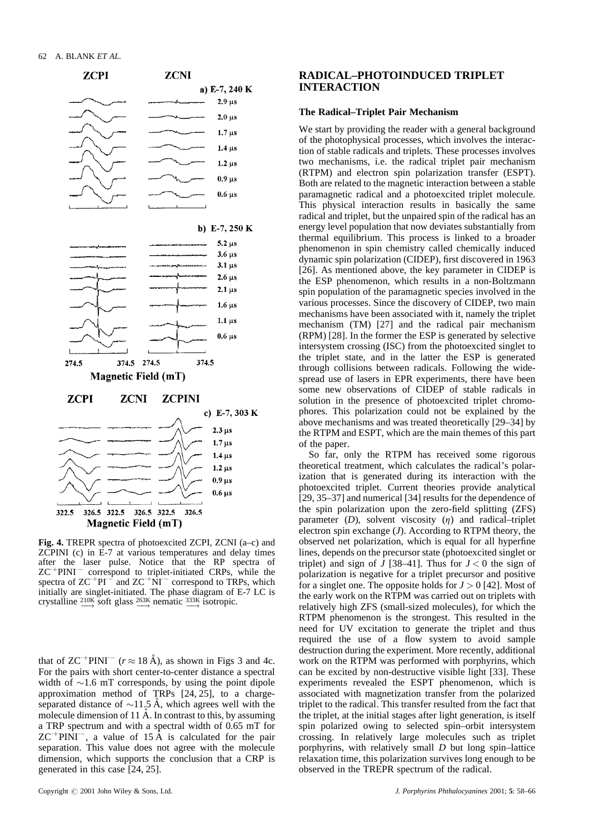

Magnetic Field (mT)

**Fig. 4.** TREPR spectra of photoexcited ZCPI, ZCNI (a–c) and ZCPINI (c) in E-7 at various temperatures and delay times after the laser pulse. Notice that the RP spectra of  $ZC$ <sup>+</sup>PINI<sup>-</sup> correspond to triplet-initiated CRPs, while the spectra of  $ZC^+PI^-$  and  $ZC^+NI^-$  correspond to TRPs, which initially are singlet-initiated. The phase diagram of E-7 LC is crystalline  $\frac{210K}{\longrightarrow}$  soft glass  $\frac{263K}{\longrightarrow}$  nematic  $\frac{333K}{\longrightarrow}$  isotropic.

that of  $ZC^+PINI^ (r \approx 18 \text{ Å})$ , as shown in Figs 3 and 4c. For the pairs with short center-to-center distance a spectral width of  $\sim$ 1.6 mT corresponds, by using the point dipole approximation method of TRPs [24, 25], to a chargeseparated distance of  $\sim$ 11.5 Å, which agrees well with the molecule dimension of 11  $\AA$ . In contrast to this, by assuming a TRP spectrum and with a spectral width of 0.65 mT for  $ZC^+PINT^-$ , a value of 15 Å is calculated for the pair separation. This value does not agree with the molecule dimension, which supports the conclusion that a CRP is generated in this case [24, 25].

# **RADICAL–PHOTOINDUCED TRIPLET INTERACTION**

#### **The Radical–Triplet Pair Mechanism**

We start by providing the reader with a general background of the photophysical processes, which involves the interaction of stable radicals and triplets. These processes involves two mechanisms, i.e. the radical triplet pair mechanism (RTPM) and electron spin polarization transfer (ESPT). Both are related to the magnetic interaction between a stable paramagnetic radical and a photoexcited triplet molecule. This physical interaction results in basically the same radical and triplet, but the unpaired spin of the radical has an energy level population that now deviates substantially from thermal equilibrium. This process is linked to a broader phenomenon in spin chemistry called chemically induced dynamic spin polarization (CIDEP), first discovered in 1963 [26]. As mentioned above, the key parameter in CIDEP is the ESP phenomenon, which results in a non-Boltzmann spin population of the paramagnetic species involved in the various processes. Since the discovery of CIDEP, two main mechanisms have been associated with it, namely the triplet mechanism (TM) [27] and the radical pair mechanism (RPM) [28]. In the former the ESP is generated by selective intersystem crossing (ISC) from the photoexcited singlet to the triplet state, and in the latter the ESP is generated through collisions between radicals. Following the widespread use of lasers in EPR experiments, there have been some new observations of CIDEP of stable radicals in solution in the presence of photoexcited triplet chromophores. This polarization could not be explained by the above mechanisms and was treated theoretically [29–34] by the RTPM and ESPT, which are the main themes of this part of the paper.

So far, only the RTPM has received some rigorous theoretical treatment, which calculates the radical's polarization that is generated during its interaction with the photoexcited triplet. Current theories provide analytical [29, 35–37] and numerical [34] results for the dependence of the spin polarization upon the zero-field splitting (ZFS) parameter  $(D)$ , solvent viscosity  $(n)$  and radical–triplet electron spin exchange (*J*). According to RTPM theory, the observed net polarization, which is equal for all hyperfine lines, depends on the precursor state (photoexcited singlet or triplet) and sign of *J* [38–41]. Thus for  $J < 0$  the sign of polarization is negative for a triplet precursor and positive for a singlet one. The opposite holds for  $J > 0$  [42]. Most of the early work on the RTPM was carried out on triplets with relatively high ZFS (small-sized molecules), for which the RTPM phenomenon is the strongest. This resulted in the need for UV excitation to generate the triplet and thus required the use of a flow system to avoid sample destruction during the experiment. More recently, additional work on the RTPM was performed with porphyrins, which can be excited by non-destructive visible light [33]. These experiments revealed the ESPT phenomenon, which is associated with magnetization transfer from the polarized triplet to the radical. This transfer resulted from the fact that the triplet, at the initial stages after light generation, is itself spin polarized owing to selected spin–orbit intersystem crossing. In relatively large molecules such as triplet porphyrins, with relatively small *D* but long spin–lattice relaxation time, this polarization survives long enough to be observed in the TREPR spectrum of the radical.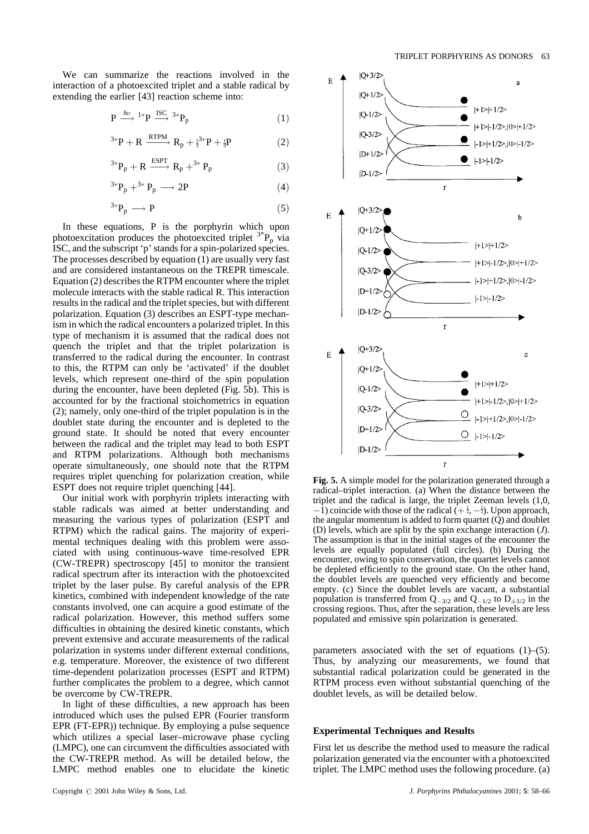We can summarize the reactions involved in the interaction of a photoexcited triplet and a stable radical by extending the earlier [43] reaction scheme into:

$$
P \xrightarrow{h\nu} {}^{1*}P \xrightarrow{ISC} {}^{3*}P_p \tag{1}
$$

$$
{}^{3*}P + R \xrightarrow{RTPM} R_p + \frac{2}{3}{}^{3*}P + \frac{1}{3}P \tag{2}
$$

$$
{}^{3*}P_p + R \xrightarrow{ESPT} R_p + {}^{3*}P_p \tag{3}
$$

$$
{}^{3*}P_p + {}^{3*}P_p \longrightarrow 2P \tag{4}
$$

$$
{}^{3*}P_p \longrightarrow P \tag{5}
$$

In these equations, P is the porphyrin which upon photoexcitation produces the photoexcited triplet  $3^{*}P_{p}$  via ISC, and the subscript 'p' stands for a spin-polarized species. The processes described by equation (1) are usually very fast and are considered instantaneous on the TREPR timescale. Equation  $(2)$  describes the RTPM encounter where the triplet molecule interacts with the stable radical R. This interaction results in the radical and the triplet species, but with different polarization. Equation (3) describes an ESPT-type mechanism in which the radical encounters a polarized triplet. In this type of mechanism it is assumed that the radical does not quench the triplet and that the triplet polarization is transferred to the radical during the encounter. In contrast to this, the RTPM can only be 'activated' if the doublet levels, which represent one-third of the spin population during the encounter, have been depleted (Fig. 5b). This is accounted for by the fractional stoichometrics in equation (2); namely, only one-third of the triplet population is in the doublet state during the encounter and is depleted to the ground state. It should be noted that every encounter between the radical and the triplet may lead to both ESPT and RTPM polarizations. Although both mechanisms operate simultaneously, one should note that the RTPM requires triplet quenching for polarization creation, while ESPT does not require triplet quenching [44].

Our initial work with porphyrin triplets interacting with stable radicals was aimed at better understanding and measuring the various types of polarization (ESPT and RTPM) which the radical gains. The majority of experimental techniques dealing with this problem were associated with using continuous-wave time-resolved EPR (CW-TREPR) spectroscopy [45] to monitor the transient radical spectrum after its interaction with the photoexcited triplet by the laser pulse. By careful analysis of the EPR kinetics, combined with independent knowledge of the rate constants involved, one can acquire a good estimate of the radical polarization. However, this method suffers some difficulties in obtaining the desired kinetic constants, which prevent extensive and accurate measurements of the radical polarization in systems under different external conditions, e.g. temperature. Moreover, the existence of two different time-dependent polarization processes (ESPT and RTPM) further complicates the problem to a degree, which cannot be overcome by CW-TREPR.

In light of these difficulties, a new approach has been introduced which uses the pulsed EPR (Fourier transform EPR (FT-EPR)) technique. By employing a pulse sequence which utilizes a special laser–microwave phase cycling (LMPC), one can circumvent the difficulties associated with the CW-TREPR method. As will be detailed below, the LMPC method enables one to elucidate the kinetic



**Fig. 5.** A simple model for the polarization generated through a radical–triplet interaction. (a) When the distance between the triplet and the radical is large, the triplet Zeeman levels (1,0,  $\left( -1 \right)$  coincide with those of the radical  $\left( +\frac{1}{2}, -\frac{1}{2} \right)$ . Upon approach, the angular momentum is added to form quartet  $(Q)$  and doublet (D) levels, which are split by the spin exchange interaction (*J*). The assumption is that in the initial stages of the encounter the levels are equally populated (full circles). (b) During the encounter, owing to spin conservation, the quartet levels cannot be depleted efficiently to the ground state. On the other hand, the doublet levels are quenched very efficiently and become empty. (c) Since the doublet levels are vacant, a substantial population is transferred from  $Q_{-3/2}$  and  $Q_{-1/2}$  to  $D_{\pm 1/2}$  in the crossing regions. Thus, after the separation, these levels are less populated and emissive spin polarization is generated.

parameters associated with the set of equations (1)–(5). Thus, by analyzing our measurements, we found that substantial radical polarization could be generated in the RTPM process even without substantial quenching of the doublet levels, as will be detailed below.

#### **Experimental Techniques and Results**

First let us describe the method used to measure the radical polarization generated via the encounter with a photoexcited triplet. The LMPC method uses the following procedure. (a)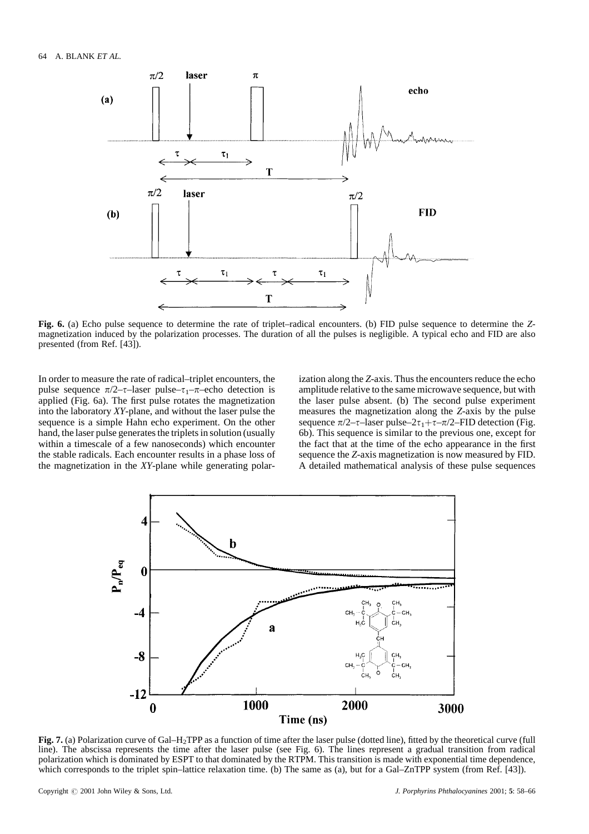

**Fig. 6.** (a) Echo pulse sequence to determine the rate of triplet–radical encounters. (b) FID pulse sequence to determine the *Z*magnetization induced by the polarization processes. The duration of all the pulses is negligible. A typical echo and FID are also presented (from Ref. [43]).

In order to measure the rate of radical–triplet encounters, the pulse sequence  $\pi/2-\tau$ –laser pulse– $\tau_1-\pi$ –echo detection is applied (Fig. 6a). The first pulse rotates the magnetization into the laboratory *XY*-plane, and without the laser pulse the sequence is a simple Hahn echo experiment. On the other hand, the laser pulse generates the triplets in solution (usually within a timescale of a few nanoseconds) which encounter the stable radicals. Each encounter results in a phase loss of the magnetization in the *XY*-plane while generating polarization along the *Z*-axis. Thus the encounters reduce the echo amplitude relative to the same microwave sequence, but with the laser pulse absent. (b) The second pulse experiment measures the magnetization along the *Z*-axis by the pulse sequence  $\pi/2$ – $\tau$ –laser pulse– $2\tau_1+\tau-\pi/2$ –FID detection (Fig. 6b). This sequence is similar to the previous one, except for the fact that at the time of the echo appearance in the first sequence the *Z*-axis magnetization is now measured by FID. A detailed mathematical analysis of these pulse sequences



**Fig. 7.** (a) Polarization curve of Gal–H2TPP as a function of time after the laser pulse (dotted line), fitted by the theoretical curve (full line). The abscissa represents the time after the laser pulse (see Fig. 6). The lines represent a gradual transition from radical polarization which is dominated by ESPT to that dominated by the RTPM. This transition is made with exponential time dependence, which corresponds to the triplet spin–lattice relaxation time. (b) The same as (a), but for a Gal–ZnTPP system (from Ref. [43]).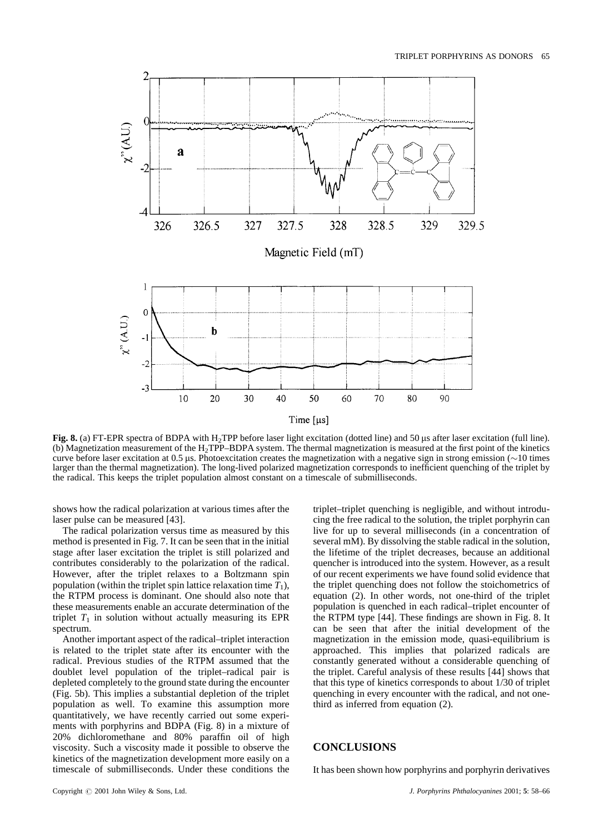

Fig. 8. (a) FT-EPR spectra of BDPA with H<sub>2</sub>TPP before laser light excitation (dotted line) and 50 µs after laser excitation (full line). (b) Magnetization measurement of the H2TPP–BDPA system. The thermal magnetization is measured at the first point of the kinetics curve before laser excitation at 0.5  $\mu$ s. Photoexcitation creates the magnetization with a negative sign in strong emission ( $\sim$ 10 times larger than the thermal magnetization). The long-lived polarized magnetization corresponds to inefficient quenching of the triplet by the radical. This keeps the triplet population almost constant on a timescale of submilliseconds.

shows how the radical polarization at various times after the laser pulse can be measured [43].

The radical polarization versus time as measured by this method is presented in Fig. 7. It can be seen that in the initial stage after laser excitation the triplet is still polarized and contributes considerably to the polarization of the radical. However, after the triplet relaxes to a Boltzmann spin population (within the triplet spin lattice relaxation time  $T_1$ ), the RTPM process is dominant. One should also note that these measurements enable an accurate determination of the triplet  $T_1$  in solution without actually measuring its EPR spectrum.

Another important aspect of the radical–triplet interaction is related to the triplet state after its encounter with the radical. Previous studies of the RTPM assumed that the doublet level population of the triplet–radical pair is depleted completely to the ground state during the encounter (Fig. 5b). This implies a substantial depletion of the triplet population as well. To examine this assumption more quantitatively, we have recently carried out some experiments with porphyrins and BDPA (Fig. 8) in a mixture of 20% dichloromethane and 80% paraffin oil of high viscosity. Such a viscosity made it possible to observe the kinetics of the magnetization development more easily on a timescale of submilliseconds. Under these conditions the triplet–triplet quenching is negligible, and without introducing the free radical to the solution, the triplet porphyrin can live for up to several milliseconds (in a concentration of several mM). By dissolving the stable radical in the solution, the lifetime of the triplet decreases, because an additional quencher is introduced into the system. However, as a result of our recent experiments we have found solid evidence that the triplet quenching does not follow the stoichometrics of equation (2). In other words, not one-third of the triplet population is quenched in each radical–triplet encounter of the RTPM type [44]. These findings are shown in Fig. 8. It can be seen that after the initial development of the magnetization in the emission mode, quasi-equilibrium is approached. This implies that polarized radicals are constantly generated without a considerable quenching of the triplet. Careful analysis of these results [44] shows that that this type of kinetics corresponds to about 1/30 of triplet quenching in every encounter with the radical, and not onethird as inferred from equation (2).

# **CONCLUSIONS**

It has been shown how porphyrins and porphyrin derivatives